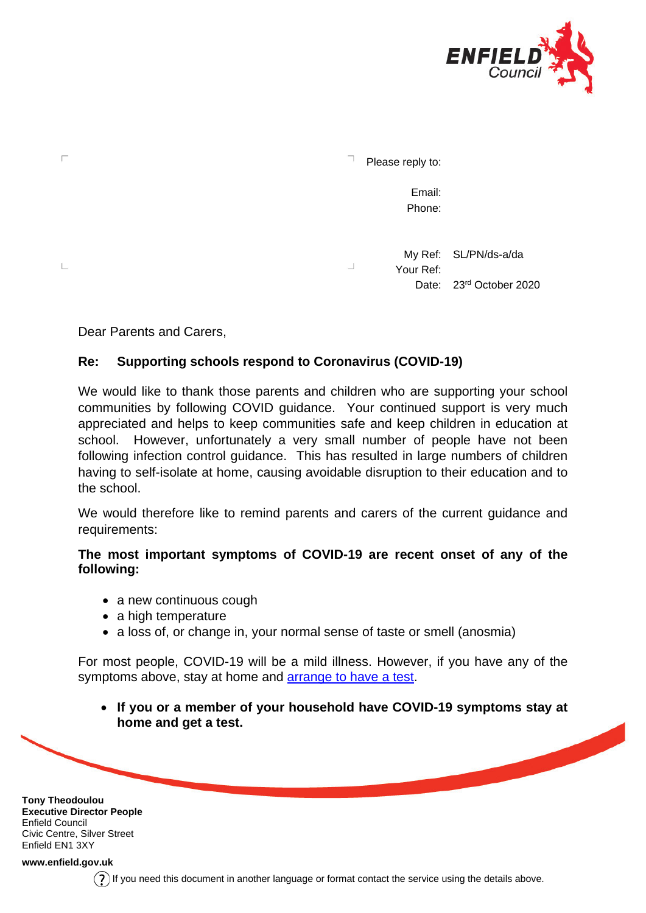

Please reply to:

Email: Phone:

My Ref: SL/PN/ds-a/da  $\Box$ Your Ref: Date: 23<sup>rd</sup> October 2020

Dear Parents and Carers,

П

 $\mathbb{L}$ 

## **Re: Supporting schools respond to Coronavirus (COVID-19)**

We would like to thank those parents and children who are supporting your school communities by following COVID guidance. Your continued support is very much appreciated and helps to keep communities safe and keep children in education at school. However, unfortunately a very small number of people have not been following infection control guidance. This has resulted in large numbers of children having to self-isolate at home, causing avoidable disruption to their education and to the school.

We would therefore like to remind parents and carers of the current guidance and requirements:

## **The most important symptoms of COVID-19 are recent onset of any of the following:**

- a new continuous cough
- a high temperature
- a loss of, or change in, your normal sense of taste or smell (anosmia)

For most people, COVID-19 will be a mild illness. However, if you have any of the symptoms above, stay at home and [arrange to have a test.](https://www.nhs.uk/conditions/coronavirus-covid-19/testing-and-tracing/get-a-test-to-check-if-you-have-coronavirus/)

• **If you or a member of your household have COVID-19 symptoms stay at home and get a test.**

**Tony Theodoulou Executive Director People** Enfield Council Civic Centre, Silver Street Enfield EN1 3XY

**[www.enfield.gov.uk](http://www.enfield.gov.uk/)**

If you need this document in another language or format contact the service using the details above.